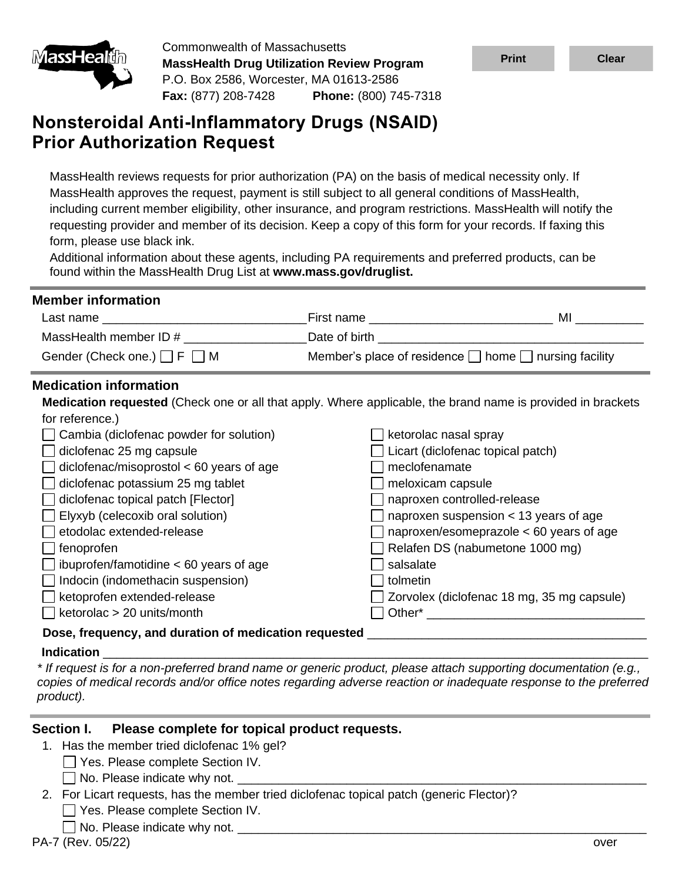

Commonwealth of Massachusetts **MassHealth Drug Utilization Review Program** P.O. Box 2586, Worcester, MA 01613-2586 **Fax:** (877) 208-7428 **Phone:** (800) 745-7318

# **Nonsteroidal Anti-Inflammatory Drugs (NSAID) Prior Authorization Request**

MassHealth reviews requests for prior authorization (PA) on the basis of medical necessity only. If MassHealth approves the request, payment is still subject to all general conditions of MassHealth, including current member eligibility, other insurance, and program restrictions. MassHealth will notify the requesting provider and member of its decision. Keep a copy of this form for your records. If faxing this form, please use black ink.

Additional information about these agents, including PA requirements and preferred products, can be found within the MassHealth Drug List at **www.mass.gov/druglist.**

| <b>Member information</b>                                                                                          |                                             |                                                                                                                |
|--------------------------------------------------------------------------------------------------------------------|---------------------------------------------|----------------------------------------------------------------------------------------------------------------|
|                                                                                                                    | First name ________________________________ | MI and the state of the state of the state of the state of the state of the state of the state of the state of |
| MassHealth member ID # _______________                                                                             |                                             |                                                                                                                |
| Gender (Check one.) $\Box$ F $\Box$ M                                                                              |                                             | Member's place of residence $\Box$ home $\Box$ nursing facility                                                |
| <b>Medication information</b>                                                                                      |                                             |                                                                                                                |
| <b>Medication requested</b> (Check one or all that apply. Where applicable, the brand name is provided in brackets |                                             |                                                                                                                |
| for reference.)                                                                                                    |                                             |                                                                                                                |
| Cambia (diclofenac powder for solution)                                                                            |                                             | ketorolac nasal spray                                                                                          |
| diclofenac 25 mg capsule                                                                                           |                                             | Licart (diclofenac topical patch)                                                                              |
| $diclofenac/misoprostol < 60$ years of age                                                                         | meclofenamate                               |                                                                                                                |
| diclofenac potassium 25 mg tablet                                                                                  | meloxicam capsule                           |                                                                                                                |
| diclofenac topical patch [Flector]                                                                                 |                                             | naproxen controlled-release                                                                                    |
| Elyxyb (celecoxib oral solution)                                                                                   |                                             | naproxen suspension < 13 years of age                                                                          |
| etodolac extended-release                                                                                          |                                             | naproxen/esomeprazole $<$ 60 years of age                                                                      |
| fenoprofen                                                                                                         |                                             | Relafen DS (nabumetone 1000 mg)                                                                                |
| ibuprofen/famotidine $< 60$ years of age                                                                           | salsalate                                   |                                                                                                                |
| Indocin (indomethacin suspension)                                                                                  | tolmetin                                    |                                                                                                                |
| ketoprofen extended-release                                                                                        |                                             | Zorvolex (diclofenac 18 mg, 35 mg capsule)                                                                     |
| ketorolac > 20 units/month                                                                                         |                                             |                                                                                                                |
| Dose, frequency, and duration of medication requested                                                              |                                             |                                                                                                                |

## **Indication** \_\_\_\_\_\_\_\_\_\_\_\_\_\_\_\_\_\_\_\_\_\_\_\_\_\_\_\_\_\_\_\_\_\_\_\_\_\_\_\_\_\_\_\_\_\_\_\_\_\_\_\_\_\_\_\_\_\_\_\_\_\_\_\_\_\_\_\_\_\_\_\_\_\_\_\_\_\_\_\_

*\* If request is for a non-preferred brand name or generic product, please attach supporting documentation (e.g., copies of medical records and/or office notes regarding adverse reaction or inadequate response to the preferred product).*

#### **Section I. Please complete for topical product requests.**

- 1. Has the member tried diclofenac 1% gel?
	- Yes. Please complete Section IV.
		- $\Box$  No. Please indicate why not.
- 2. For Licart requests, has the member tried diclofenac topical patch (generic Flector)?
	- Yes. Please complete Section IV.
	- $\Box$  No. Please indicate why not.  $\Box$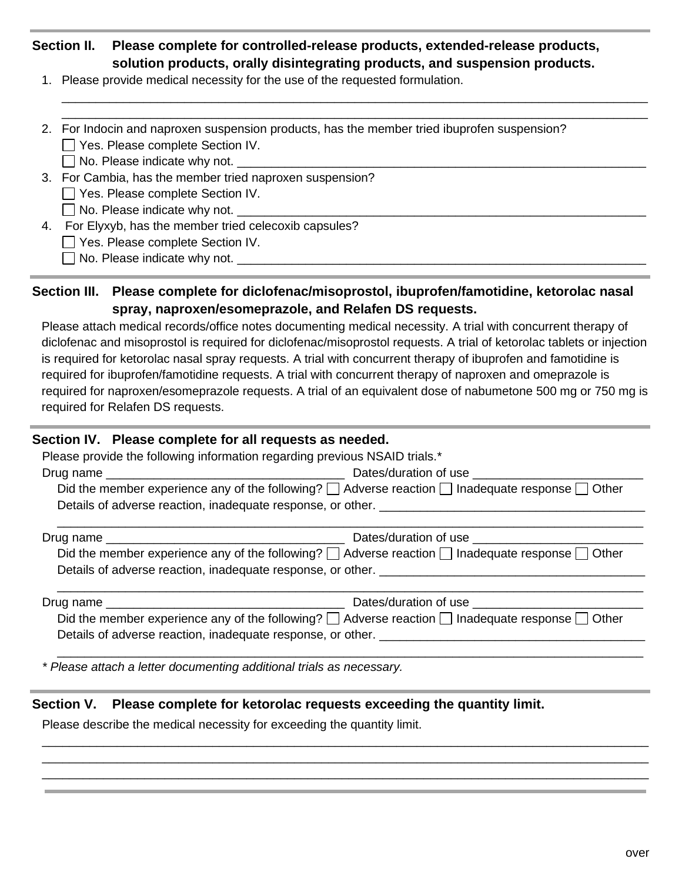# **Section II. Please complete for controlled-release products, extended-release products, solution products, orally disintegrating products, and suspension products.**

\_\_\_\_\_\_\_\_\_\_\_\_\_\_\_\_\_\_\_\_\_\_\_\_\_\_\_\_\_\_\_\_\_\_\_\_\_\_\_\_\_\_\_\_\_\_\_\_\_\_\_\_\_\_\_\_\_\_\_\_\_\_\_\_\_\_\_\_\_\_\_\_\_\_\_\_\_\_\_\_\_\_\_\_\_\_ \_\_\_\_\_\_\_\_\_\_\_\_\_\_\_\_\_\_\_\_\_\_\_\_\_\_\_\_\_\_\_\_\_\_\_\_\_\_\_\_\_\_\_\_\_\_\_\_\_\_\_\_\_\_\_\_\_\_\_\_\_\_\_\_\_\_\_\_\_\_\_\_\_\_\_\_\_\_\_\_\_\_\_\_\_\_

- 1. Please provide medical necessity for the use of the requested formulation.
- 2. For Indocin and naproxen suspension products, has the member tried ibuprofen suspension? Yes. Please complete Section IV.

 $\Box$  No. Please indicate why not.

3. For Cambia, has the member tried naproxen suspension?

Yes. Please complete Section IV.

 $\Box$  No. Please indicate why not.

4. For Elyxyb, has the member tried celecoxib capsules?

Yes. Please complete Section IV.

 $\Box$  No. Please indicate why not.

## **Section III. Please complete for diclofenac/misoprostol, ibuprofen/famotidine, ketorolac nasal spray, naproxen/esomeprazole, and Relafen DS requests.**

Please attach medical records/office notes documenting medical necessity. A trial with concurrent therapy of diclofenac and misoprostol is required for diclofenac/misoprostol requests. A trial of ketorolac tablets or injection is required for ketorolac nasal spray requests. A trial with concurrent therapy of ibuprofen and famotidine is required for ibuprofen/famotidine requests. A trial with concurrent therapy of naproxen and omeprazole is required for naproxen/esomeprazole requests. A trial of an equivalent dose of nabumetone 500 mg or 750 mg is required for Relafen DS requests.

#### **Section IV. Please complete for all requests as needed.**

|                                                                                                                 | Please provide the following information regarding previous NSAID trials.*                                      |  |  |  |
|-----------------------------------------------------------------------------------------------------------------|-----------------------------------------------------------------------------------------------------------------|--|--|--|
|                                                                                                                 |                                                                                                                 |  |  |  |
| Did the member experience any of the following? $\Box$ Adverse reaction $\Box$ Inadequate response $\Box$ Other |                                                                                                                 |  |  |  |
|                                                                                                                 | Details of adverse reaction, inadequate response, or other. [1982] [2012] [2013] [2013] [2013] [2014] [2014] [  |  |  |  |
|                                                                                                                 |                                                                                                                 |  |  |  |
|                                                                                                                 | Did the member experience any of the following? $\Box$ Adverse reaction $\Box$ Inadequate response $\Box$ Other |  |  |  |
|                                                                                                                 |                                                                                                                 |  |  |  |
|                                                                                                                 |                                                                                                                 |  |  |  |
|                                                                                                                 | Did the member experience any of the following? $\Box$ Adverse reaction $\Box$ Inadequate response $\Box$ Other |  |  |  |
|                                                                                                                 |                                                                                                                 |  |  |  |
|                                                                                                                 |                                                                                                                 |  |  |  |

\_\_\_\_\_\_\_\_\_\_\_\_\_\_\_\_\_\_\_\_\_\_\_\_\_\_\_\_\_\_\_\_\_\_\_\_\_\_\_\_\_\_\_\_\_\_\_\_\_\_\_\_\_\_\_\_\_\_\_\_\_\_\_\_\_\_\_\_\_\_\_\_\_\_\_\_\_\_\_\_\_\_\_\_\_\_\_\_\_ \_\_\_\_\_\_\_\_\_\_\_\_\_\_\_\_\_\_\_\_\_\_\_\_\_\_\_\_\_\_\_\_\_\_\_\_\_\_\_\_\_\_\_\_\_\_\_\_\_\_\_\_\_\_\_\_\_\_\_\_\_\_\_\_\_\_\_\_\_\_\_\_\_\_\_\_\_\_\_\_\_\_\_\_\_\_\_\_\_ \_\_\_\_\_\_\_\_\_\_\_\_\_\_\_\_\_\_\_\_\_\_\_\_\_\_\_\_\_\_\_\_\_\_\_\_\_\_\_\_\_\_\_\_\_\_\_\_\_\_\_\_\_\_\_\_\_\_\_\_\_\_\_\_\_\_\_\_\_\_\_\_\_\_\_\_\_\_\_\_\_\_\_\_\_\_\_\_\_

*\* Please attach a letter documenting additional trials as necessary.*

## **Section V. Please complete for ketorolac requests exceeding the quantity limit.**

Please describe the medical necessity for exceeding the quantity limit.